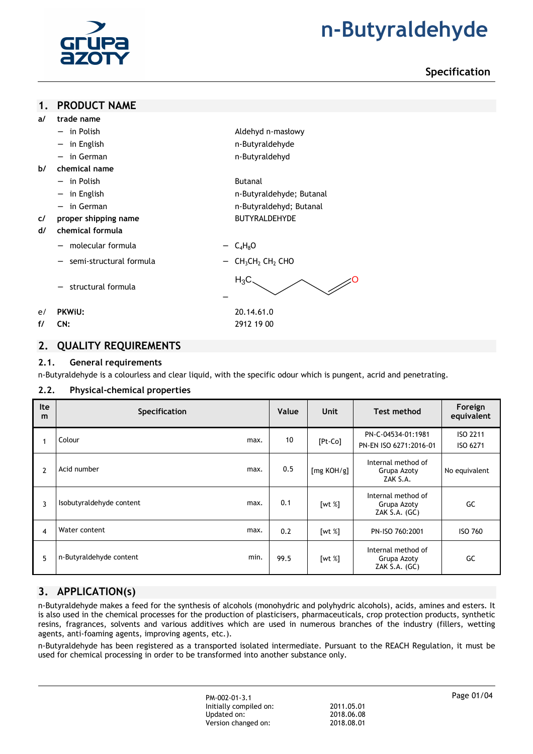

# **Specification**

## **1. PRODUCT NAME**

- − in Polish Aldehyd n-masłowy
- − in English n-Butyraldehyde
- − in German n-Butyraldehyd
- **b/ chemical name**  − in Polish Butanal
	-
	- − in English n-Butyraldehyde; Butanal
	- − in German n-Butyraldehyd; Butanal
- **c/ proper shipping name** BUTYRALDEHYDE

## **d/ chemical formula**

- $\blacksquare$  molecular formula  $-\mathsf{C}_4H_8O$
- semi-structural formula  $-$  CH<sub>3</sub>CH<sub>2</sub> CH<sub>2</sub> CHO
- − structural formula
- e/ **PKWiU:** 20.14.61.0
- **f/ CN:** 2912 19 00

## **2. QUALITY REQUIREMENTS**

## **2.1. General requirements**

n-Butyraldehyde is a colourless and clear liquid, with the specific odour which is pungent, acrid and penetrating.

−

## **2.2. Physical-chemical properties**

| Ite<br>m       | <b>Specification</b>     |      | Value | <b>Unit</b> | <b>Test method</b>                                 | Foreign<br>equivalent |
|----------------|--------------------------|------|-------|-------------|----------------------------------------------------|-----------------------|
|                | Colour                   | max. | 10    | $[Pt-Co]$   | PN-C-04534-01:1981<br>PN-EN ISO 6271:2016-01       | ISO 2211<br>ISO 6271  |
| $\overline{2}$ | Acid number              | max. | 0.5   | [mg KOH/g]  | Internal method of<br>Grupa Azoty<br>ZAK S.A.      | No equivalent         |
| 3              | Isobutyraldehyde content | max. | 0.1   | [wt $%$ ]   | Internal method of<br>Grupa Azoty<br>ZAK S.A. (GC) | GC                    |
| $\overline{4}$ | Water content            | max. | 0.2   | [wt $%$ ]   | PN-ISO 760:2001                                    | <b>ISO 760</b>        |
| 5              | n-Butyraldehyde content  | min. | 99.5  | [wt $%$ ]   | Internal method of<br>Grupa Azoty<br>ZAK S.A. (GC) | GC                    |

 $H_3C \qquad \qquad \sim \qquad$ 

# **3. APPLICATION(s)**

n-Butyraldehyde makes a feed for the synthesis of alcohols (monohydric and polyhydric alcohols), acids, amines and esters. It is also used in the chemical processes for the production of plasticisers, pharmaceuticals, crop protection products, synthetic resins, fragrances, solvents and various additives which are used in numerous branches of the industry (fillers, wetting agents, anti-foaming agents, improving agents, etc.).

n-Butyraldehyde has been registered as a transported isolated intermediate. Pursuant to the REACH Regulation, it must be used for chemical processing in order to be transformed into another substance only.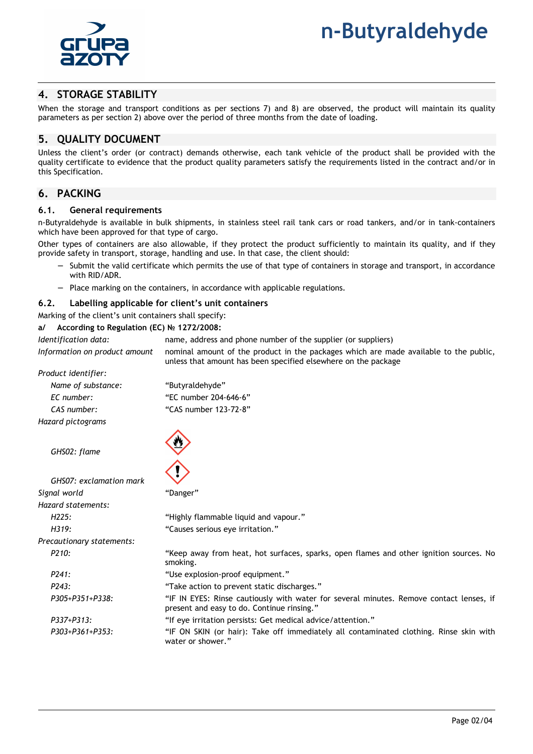

# **4. STORAGE STABILITY**

When the storage and transport conditions as per sections 7) and 8) are observed, the product will maintain its quality parameters as per section 2) above over the period of three months from the date of loading.

## **5. QUALITY DOCUMENT**

Unless the client's order (or contract) demands otherwise, each tank vehicle of the product shall be provided with the quality certificate to evidence that the product quality parameters satisfy the requirements listed in the contract and/or in this Specification.

## **6. PACKING**

#### **6.1. General requirements**

n-Butyraldehyde is available in bulk shipments, in stainless steel rail tank cars or road tankers, and/or in tank-containers which have been approved for that type of cargo.

Other types of containers are also allowable, if they protect the product sufficiently to maintain its quality, and if they provide safety in transport, storage, handling and use. In that case, the client should:

- Submit the valid certificate which permits the use of that type of containers in storage and transport, in accordance with RID/ADR.
- − Place marking on the containers, in accordance with applicable regulations.

#### **6.2. Labelling applicable for client's unit containers**

Marking of the client's unit containers shall specify:

**a/ According to Regulation (EC) № 1272/2008:** 

*Identification data:* name, address and phone number of the supplier (or suppliers) *Information on product amount* nominal amount of the product in the packages which are made available to the public, unless that amount has been specified elsewhere on the package

*Product identifier:* 

| Name of substance: | "Butyraldehyde"       |
|--------------------|-----------------------|
| EC number:         | "EC number 204-646-6" |
| CAS number:        | "CAS number 123-72-8" |
| Hazard pictograms  |                       |

*GHS02: flame* 

| GHS07: exclamation mark   |                                                                                                                                       |
|---------------------------|---------------------------------------------------------------------------------------------------------------------------------------|
| Signal world              | "Danger"                                                                                                                              |
| Hazard statements:        |                                                                                                                                       |
| H225:                     | "Highly flammable liquid and vapour."                                                                                                 |
| H319:                     | "Causes serious eye irritation."                                                                                                      |
| Precautionary statements: |                                                                                                                                       |
| P <sub>210</sub> :        | "Keep away from heat, hot surfaces, sparks, open flames and other ignition sources. No<br>smoking.                                    |
| P241:                     | "Use explosion-proof equipment."                                                                                                      |
| P243:                     | "Take action to prevent static discharges."                                                                                           |
| P305+P351+P338:           | "IF IN EYES: Rinse cautiously with water for several minutes. Remove contact lenses, if<br>present and easy to do. Continue rinsing." |
| P337+P313:                | "If eve irritation persists: Get medical advice/attention."                                                                           |
| P303+P361+P353:           | "IF ON SKIN (or hair): Take off immediately all contaminated clothing. Rinse skin with<br>water or shower."                           |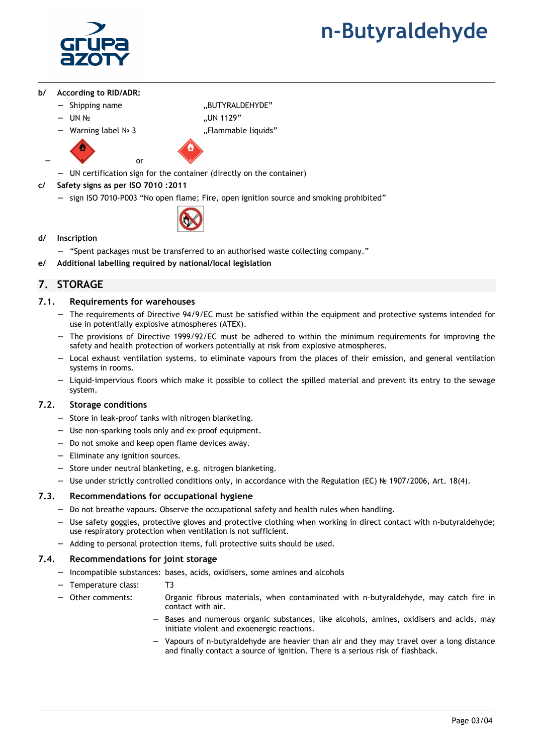

- **b/ According to RID/ADR:** 
	- − Shipping name "BUTYRALDEHYDE"
	- − UN № "UN 1129"
	-

− source or

− Warning label № 3 "Flammable liquids"

- − UN certification sign for the container (directly on the container)
- **c/ Safety signs as per ISO 7010 :2011** 
	- sign ISO 7010-P003 "No open flame; Fire, open ignition source and smoking prohibited"
		-
- **d/ Inscription** 
	- − "Spent packages must be transferred to an authorised waste collecting company."
- **e/ Additional labelling required by national/local legislation**

# **7. STORAGE**

## **7.1. Requirements for warehouses**

- − The requirements of Directive 94/9/EC must be satisfied within the equipment and protective systems intended for use in potentially explosive atmospheres (ATEX).
- − The provisions of Directive 1999/92/EC must be adhered to within the minimum requirements for improving the safety and health protection of workers potentially at risk from explosive atmospheres.
- Local exhaust ventilation systems, to eliminate vapours from the places of their emission, and general ventilation systems in rooms.
- − Liquid-impervious floors which make it possible to collect the spilled material and prevent its entry to the sewage system.

## **7.2. Storage conditions**

- − Store in leak-proof tanks with nitrogen blanketing.
- − Use non-sparking tools only and ex-proof equipment.
- − Do not smoke and keep open flame devices away.
- − Eliminate any ignition sources.
- − Store under neutral blanketing, e.g. nitrogen blanketing.
- − Use under strictly controlled conditions only, in accordance with the Regulation (EC) № 1907/2006, Art. 18(4).

## **7.3. Recommendations for occupational hygiene**

- − Do not breathe vapours. Observe the occupational safety and health rules when handling.
- Use safety goggles, protective gloves and protective clothing when working in direct contact with n-butyraldehyde; use respiratory protection when ventilation is not sufficient.
- − Adding to personal protection items, full protective suits should be used.

## **7.4. Recommendations for joint storage**

- Incompatible substances: bases, acids, oxidisers, some amines and alcohols
- − Temperature class: T3
	- − Other comments: Organic fibrous materials, when contaminated with n-butyraldehyde, may catch fire in contact with air.
		- Bases and numerous organic substances, like alcohols, amines, oxidisers and acids, may initiate violent and exoenergic reactions.
		- − Vapours of n-butyraldehyde are heavier than air and they may travel over a long distance and finally contact a source of ignition. There is a serious risk of flashback.